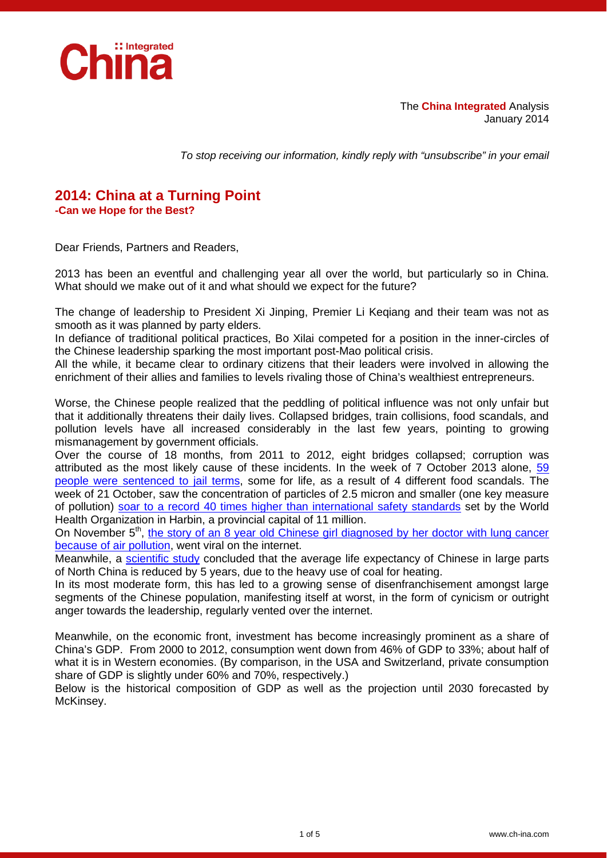

The **China Integrated** Analysis January 2014

*To stop receiving our information, kindly reply with "unsubscribe" in your email*

## **2014: China at a Turning Point -Can we Hope for the Best?**

Dear Friends, Partners and Readers,

2013 has been an eventful and challenging year all over the world, but particularly so in China. What should we make out of it and what should we expect for the future?

The change of leadership to President Xi Jinping, Premier Li Keqiang and their team was not as smooth as it was planned by party elders.

In defiance of traditional political practices, Bo Xilai competed for a position in the inner-circles of the Chinese leadership sparking the most important post-Mao political crisis.

All the while, it became clear to ordinary citizens that their leaders were involved in allowing the enrichment of their allies and families to levels rivaling those of China's wealthiest entrepreneurs.

Worse, the Chinese people realized that the peddling of political influence was not only unfair but that it additionally threatens their daily lives. Collapsed bridges, train collisions, food scandals, and pollution levels have all increased considerably in the last few years, pointing to growing mismanagement by government officials.

Over the course of 18 months, from 2011 to 2012, eight bridges collapsed; corruption was attributed as the most likely cause of these incidents. In the week of 7 October 2013 alone, [59](http://www.theguardian.com/world/2013/oct/11/china-food-scandals-fox-hair-animal-waste)  [people were sentenced to jail terms,](http://www.theguardian.com/world/2013/oct/11/china-food-scandals-fox-hair-animal-waste) some for life, as a result of 4 different food scandals. The week of 21 October, saw the concentration of particles of 2.5 micron and smaller (one key measure of pollution) [soar to a record 40 times higher than international safety standards](http://www.theworldofchinese.com/2013/10/harbin-chinas-silent-hill/) set by the World Health Organization in Harbin, a provincial capital of 11 million.

On November  $5<sup>th</sup>$ , the story of an 8 year old Chinese girl diagnosed by her doctor with lung cancer [because of air pollution,](http://sinosphere.blogs.nytimes.com/2013/11/05/an-8-year-old-girls-lung-cancer-is-blamed-on-air-pollution/?_r=0) went viral on the internet.

Meanwhile, a [scientific study](http://www.pnas.org/content/early/2013/07/03/1300018110) concluded that the average life expectancy of Chinese in large parts of North China is reduced by 5 years, due to the heavy use of coal for heating.

In its most moderate form, this has led to a growing sense of disenfranchisement amongst large segments of the Chinese population, manifesting itself at worst, in the form of cynicism or outright anger towards the leadership, regularly vented over the internet.

Meanwhile, on the economic front, investment has become increasingly prominent as a share of China's GDP. From 2000 to 2012, consumption went down from 46% of GDP to 33%; about half of what it is in Western economies. (By comparison, in the USA and Switzerland, private consumption share of GDP is slightly under 60% and 70%, respectively.)

Below is the historical composition of GDP as well as the projection until 2030 forecasted by McKinsey.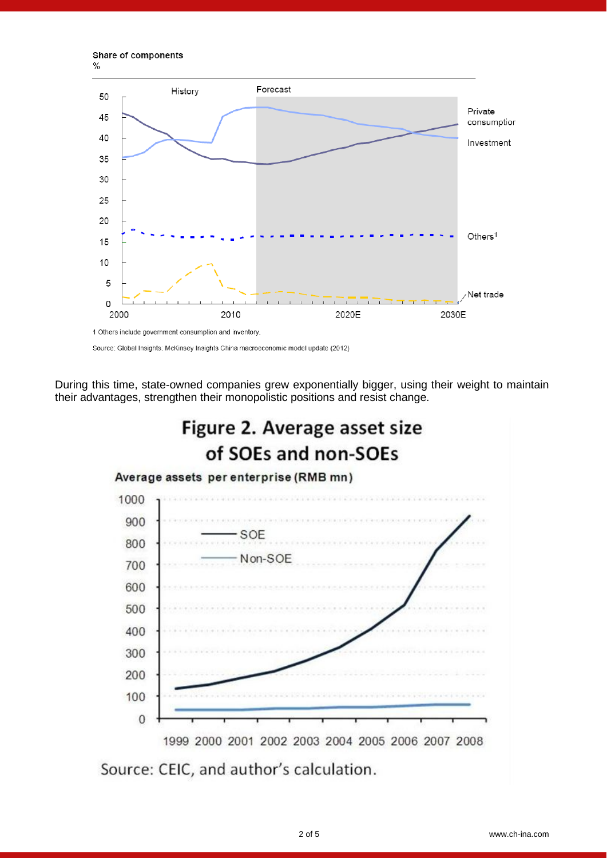Share of components  $\frac{0}{0}$ 



Source: Global Insights; McKinsey Insights China macroeconomic model update (2012)

During this time, state-owned companies grew exponentially bigger, using their weight to maintain their advantages, strengthen their monopolistic positions and resist change.



Source: CEIC, and author's calculation.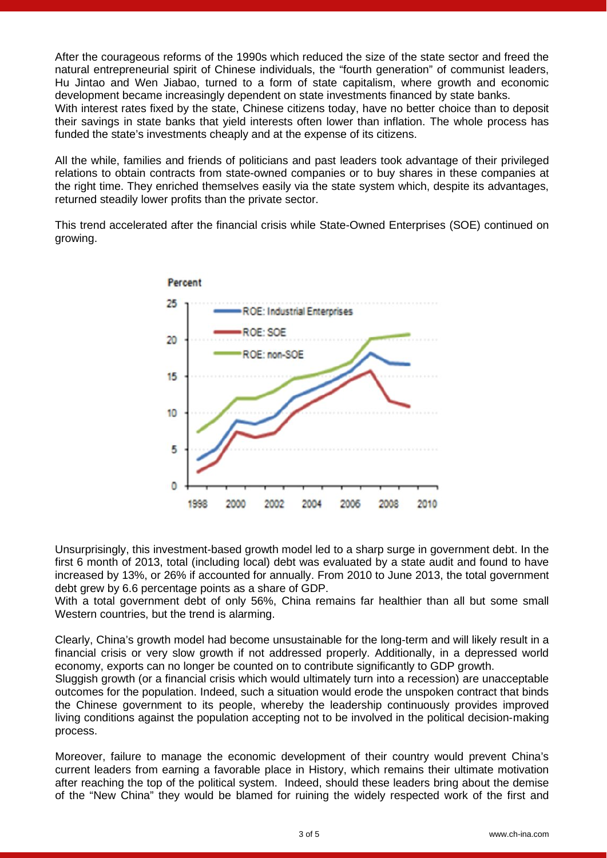After the courageous reforms of the 1990s which reduced the size of the state sector and freed the natural entrepreneurial spirit of Chinese individuals, the "fourth generation" of communist leaders, Hu Jintao and Wen Jiabao, turned to a form of state capitalism, where growth and economic development became increasingly dependent on state investments financed by state banks. With interest rates fixed by the state, Chinese citizens today, have no better choice than to deposit their savings in state banks that yield interests often lower than inflation. The whole process has funded the state's investments cheaply and at the expense of its citizens.

All the while, families and friends of politicians and past leaders took advantage of their privileged relations to obtain contracts from state-owned companies or to buy shares in these companies at the right time. They enriched themselves easily via the state system which, despite its advantages, returned steadily lower profits than the private sector.

This trend accelerated after the financial crisis while State-Owned Enterprises (SOE) continued on growing.



Unsurprisingly, this investment-based growth model led to a sharp surge in government debt. In the first 6 month of 2013, total (including local) debt was evaluated by a state audit and found to have increased by 13%, or 26% if accounted for annually. From 2010 to June 2013, the total government debt grew by 6.6 percentage points as a share of GDP.

With a total government debt of only 56%, China remains far healthier than all but some small Western countries, but the trend is alarming.

Clearly, China's growth model had become unsustainable for the long-term and will likely result in a financial crisis or very slow growth if not addressed properly. Additionally, in a depressed world economy, exports can no longer be counted on to contribute significantly to GDP growth.

Sluggish growth (or a financial crisis which would ultimately turn into a recession) are unacceptable outcomes for the population. Indeed, such a situation would erode the unspoken contract that binds the Chinese government to its people, whereby the leadership continuously provides improved living conditions against the population accepting not to be involved in the political decision-making process.

Moreover, failure to manage the economic development of their country would prevent China's current leaders from earning a favorable place in History, which remains their ultimate motivation after reaching the top of the political system. Indeed, should these leaders bring about the demise of the "New China" they would be blamed for ruining the widely respected work of the first and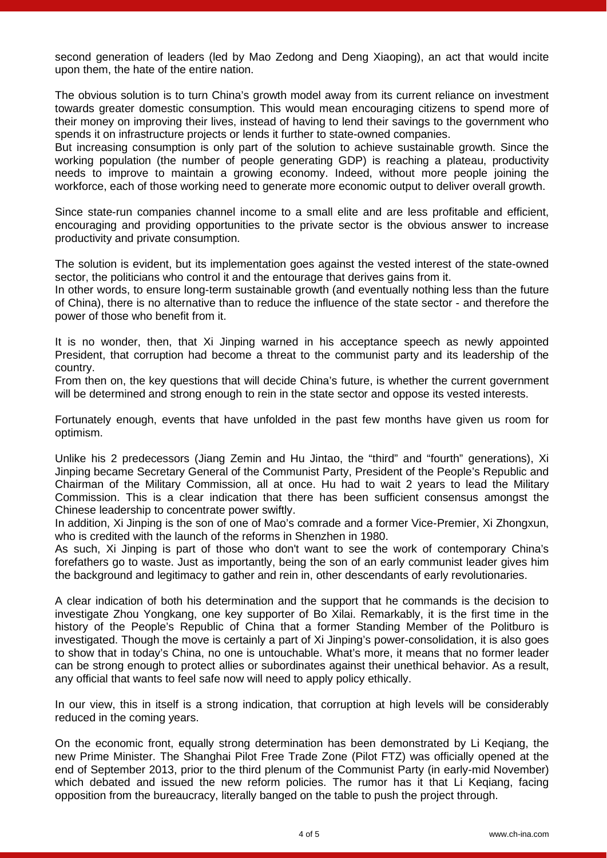second generation of leaders (led by Mao Zedong and Deng Xiaoping), an act that would incite upon them, the hate of the entire nation.

The obvious solution is to turn China's growth model away from its current reliance on investment towards greater domestic consumption. This would mean encouraging citizens to spend more of their money on improving their lives, instead of having to lend their savings to the government who spends it on infrastructure projects or lends it further to state-owned companies.

But increasing consumption is only part of the solution to achieve sustainable growth. Since the working population (the number of people generating GDP) is reaching a plateau, productivity needs to improve to maintain a growing economy. Indeed, without more people joining the workforce, each of those working need to generate more economic output to deliver overall growth.

Since state-run companies channel income to a small elite and are less profitable and efficient, encouraging and providing opportunities to the private sector is the obvious answer to increase productivity and private consumption.

The solution is evident, but its implementation goes against the vested interest of the state-owned sector, the politicians who control it and the entourage that derives gains from it.

In other words, to ensure long-term sustainable growth (and eventually nothing less than the future of China), there is no alternative than to reduce the influence of the state sector - and therefore the power of those who benefit from it.

It is no wonder, then, that Xi Jinping warned in his acceptance speech as newly appointed President, that corruption had become a threat to the communist party and its leadership of the country.

From then on, the key questions that will decide China's future, is whether the current government will be determined and strong enough to rein in the state sector and oppose its vested interests.

Fortunately enough, events that have unfolded in the past few months have given us room for optimism.

Unlike his 2 predecessors (Jiang Zemin and Hu Jintao, the "third" and "fourth" generations), Xi Jinping became Secretary General of the Communist Party, President of the People's Republic and Chairman of the Military Commission, all at once. Hu had to wait 2 years to lead the Military Commission. This is a clear indication that there has been sufficient consensus amongst the Chinese leadership to concentrate power swiftly.

In addition, Xi Jinping is the son of one of Mao's comrade and a former Vice-Premier, Xi Zhongxun, who is credited with the launch of the reforms in Shenzhen in 1980.

As such, Xi Jinping is part of those who don't want to see the work of contemporary China's forefathers go to waste. Just as importantly, being the son of an early communist leader gives him the background and legitimacy to gather and rein in, other descendants of early revolutionaries.

A clear indication of both his determination and the support that he commands is the decision to investigate Zhou Yongkang, one key supporter of Bo Xilai. Remarkably, it is the first time in the history of the People's Republic of China that a former Standing Member of the Politburo is investigated. Though the move is certainly a part of Xi Jinping's power-consolidation, it is also goes to show that in today's China, no one is untouchable. What's more, it means that no former leader can be strong enough to protect allies or subordinates against their unethical behavior. As a result, any official that wants to feel safe now will need to apply policy ethically.

In our view, this in itself is a strong indication, that corruption at high levels will be considerably reduced in the coming years.

On the economic front, equally strong determination has been demonstrated by Li Keqiang, the new Prime Minister. The Shanghai Pilot Free Trade Zone (Pilot FTZ) was officially opened at the end of September 2013, prior to the third plenum of the Communist Party (in early-mid November) which debated and issued the new reform policies. The rumor has it that Li Keqiang, facing opposition from the bureaucracy, literally banged on the table to push the project through.